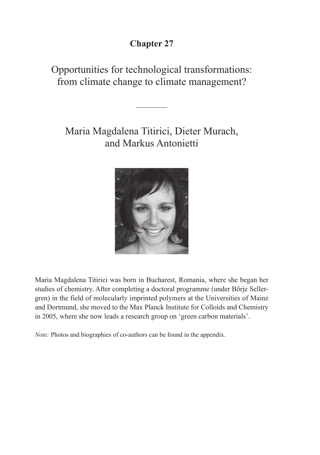# **Chapter 27**

Opportunities for technological transformations: from climate change to climate management?

Maria Magdalena Titirici, Dieter Murach, and Markus Antonietti



Maria Magdalena Titirici was born in Bucharest, Romania, where she began her studies of chemistry. After completing a doctoral programme (under Börje Sellergren) in the field of molecularly imprinted polymers at the Universities of Mainz and Dortmund, she moved to the Max Planck Institute for Colloids and Chemistry in 2005, where she now leads a research group on 'green carbon materials'.

*Note:* Photos and biographies of co-authors can be found in the appendix.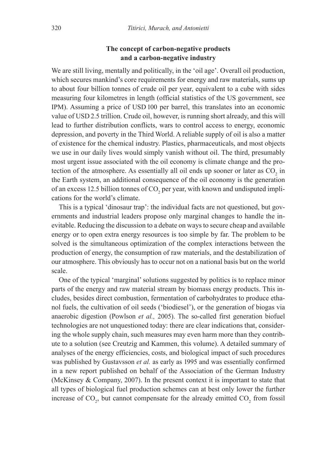### **The concept of carbon-negative products and a carbon-negative industry**

We are still living, mentally and politically, in the 'oil age'. Overall oil production, which secures mankind's core requirements for energy and raw materials, sums up to about four billion tonnes of crude oil per year, equivalent to a cube with sides measuring four kilometres in length (official statistics of the US government, see IPM). Assuming a price of USD 100 per barrel, this translates into an economic value of USD 2.5 trillion. Crude oil, however, is running short already, and this will lead to further distribution conflicts, wars to control access to energy, economic depression, and poverty in the Third World. A reliable supply of oil is also a matter of existence for the chemical industry. Plastics, pharmaceuticals, and most objects we use in our daily lives would simply vanish without oil. The third, presumably most urgent issue associated with the oil economy is climate change and the protection of the atmosphere. As essentially all oil ends up sooner or later as  $CO<sub>2</sub>$  in the Earth system, an additional consequence of the oil economy is the generation of an excess 12.5 billion tonnes of  $CO<sub>2</sub>$  per year, with known and undisputed implications for the world's climate.

This is a typical 'dinosaur trap': the individual facts are not questioned, but governments and industrial leaders propose only marginal changes to handle the inevitable. Reducing the discussion to a debate on ways to secure cheap and available energy or to open extra energy resources is too simple by far. The problem to be solved is the simultaneous optimization of the complex interactions between the production of energy, the consumption of raw materials, and the destabilization of our atmosphere. This obviously has to occur not on a national basis but on the world scale.

One of the typical 'marginal' solutions suggested by politics is to replace minor parts of the energy and raw material stream by biomass energy products. This includes, besides direct combustion, fermentation of carbohydrates to produce ethanol fuels, the cultivation of oil seeds ('biodiesel'), or the generation of biogas via anaerobic digestion (Powlson *et al.*, 2005). The so-called first generation biofuel technologies are not unquestioned today: there are clear indications that, considering the whole supply chain, such measures may even harm more than they contribute to a solution (see Creutzig and Kammen, this volume). A detailed summary of analyses of the energy efficiencies, costs, and biological impact of such procedures was published by Gustavsson *et al.* as early as 1995 and was essentially confirmed in a new report published on behalf of the Association of the German Industry (McKinsey & Company, 2007). In the present context it is important to state that all types of biological fuel production schemes can at best only lower the further increase of  $CO_2$ , but cannot compensate for the already emitted  $CO_2$  from fossil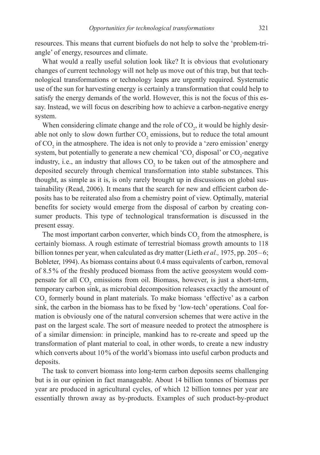resources. This means that current biofuels do not help to solve the 'problem-triangle' of energy, resources and climate.

What would a really useful solution look like? It is obvious that evolutionary changes of current technology will not help us move out of this trap, but that technological transformations or technology leaps are urgently required. Systematic use of the sun for harvesting energy is certainly a transformation that could help to satisfy the energy demands of the world. However, this is not the focus of this essay. Instead, we will focus on describing how to achieve a carbon-negative energy system.

When considering climate change and the role of  $CO<sub>2</sub>$ , it would be highly desirable not only to slow down further  $CO_2$  emissions, but to reduce the total amount of  $CO<sub>2</sub>$  in the atmosphere. The idea is not only to provide a 'zero emission' energy system, but potentially to generate a new chemical 'CO<sub>2</sub> disposal' or  $CO_2$ -negative industry, i.e., an industry that allows  $CO_2$  to be taken out of the atmosphere and deposited securely through chemical transformation into stable substances. This thought, as simple as it is, is only rarely brought up in discussions on global sustainability (Read, 2006). It means that the search for new and efficient carbon deposits has to be reiterated also from a chemistry point of view. Optimally, material benefits for society would emerge from the disposal of carbon by creating consumer products. This type of technological transformation is discussed in the present essay.

The most important carbon converter, which binds  $CO_2$  from the atmosphere, is certainly biomass. A rough estimate of terrestrial biomass growth amounts to 118 billion tonnes per year, when calculated as dry matter (Lieth *et al.*, 1975, pp. 205–6; Bobleter, 1994). As biomass contains about 0.4 mass equivalents of carbon, removal of 8.5 % of the freshly produced biomass from the active geosystem would compensate for all  $CO_2$  emissions from oil. Biomass, however, is just a short-term, temporary carbon sink, as microbial decomposition releases exactly the amount of  $CO<sub>2</sub>$  formerly bound in plant materials. To make biomass 'effective' as a carbon sink, the carbon in the biomass has to be fixed by 'low-tech' operations. Coal formation is obviously one of the natural conversion schemes that were active in the past on the largest scale. The sort of measure needed to protect the atmosphere is of a similar dimension: in principle, mankind has to re-create and speed up the transformation of plant material to coal, in other words, to create a new industry which converts about 10% of the world's biomass into useful carbon products and deposits.

The task to convert biomass into long-term carbon deposits seems challenging but is in our opinion in fact manageable. About 14 billion tonnes of biomass per year are produced in agricultural cycles, of which 12 billion tonnes per year are essentially thrown away as by-products. Examples of such product-by-product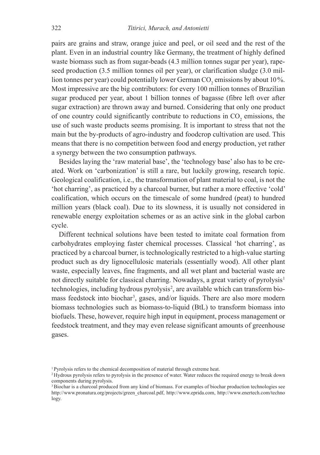pairs are grains and straw, orange juice and peel, or oil seed and the rest of the plant. Even in an industrial country like Germany, the treatment of highly defined waste biomass such as from sugar-beads (4.3 million tonnes sugar per year), rapeseed production (3.5 million tonnes oil per year), or clarification sludge (3.0 million tonnes per year) could potentially lower German  $CO_2$  emissions by about 10%. Most impressive are the big contributors: for every 100 million tonnes of Brazilian sugar produced per year, about 1 billion tonnes of bagasse (fibre left over after sugar extraction) are thrown away and burned. Considering that only one product of one country could significantly contribute to reductions in  $CO_2$  emissions, the use of such waste products seems promising. It is important to stress that not the main but the by-products of agro-industry and foodcrop cultivation are used. This means that there is no competition between food and energy production, yet rather a synergy between the two consumption pathways.

Besides laying the 'raw material base', the 'technology base' also has to be created. Work on 'carbonization' is still a rare, but luckily growing, research topic. Geological coalification, i.e., the transformation of plant material to coal, is not the 'hot charring', as practiced by a charcoal burner, but rather a more effective 'cold' coalification, which occurs on the timescale of some hundred (peat) to hundred million years (black coal). Due to its slowness, it is usually not considered in renewable energy exploitation schemes or as an active sink in the global carbon cycle.

Different technical solutions have been tested to imitate coal formation from carbohydrates employing faster chemical processes. Classical 'hot charring', as practiced by a charcoal burner, is technologically restricted to a high-value starting product such as dry lignocellulosic materials (essentially wood). All other plant waste, especially leaves, fine fragments, and all wet plant and bacterial waste are not directly suitable for classical charring. Nowadays, a great variety of pyrolysis<sup>1</sup> technologies, including hydrous pyrolysis<sup>2</sup>, are available which can transform biomass feedstock into biochar<sup>3</sup>, gases, and/or liquids. There are also more modern biomass technologies such as biomass-to-liquid (BtL) to transform biomass into biofuels. These, however, require high input in equipment, process management or feedstock treatment, and they may even release significant amounts of greenhouse gases.

<sup>&</sup>lt;sup>1</sup> Pyrolysis refers to the chemical decomposition of material through extreme heat.

<sup>2</sup> Hydrous pyrolysis refers to pyrolysis in the presence of water. Water reduces the required energy to break down components during pyrolysis.

<sup>&</sup>lt;sup>3</sup> Biochar is a charcoal produced from any kind of biomass. For examples of biochar production technologies see http://www.pronatura.org/projects/green\_charcoal.pdf, http://www.eprida.com, http://www.enertech.com/techno logy.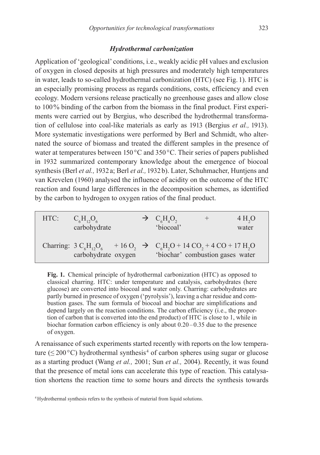### *Hydrothermal carbonization*

Application of 'geological' conditions, i. e., weakly acidic pH values and exclusion of oxygen in closed deposits at high pressures and moderately high temperatures in water, leads to so-called hydrothermal carbonization (HTC) (see Fig. 1). HTC is an especially promising process as regards conditions, costs, efficiency and even ecology. Modern versions release practically no greenhouse gases and allow close to 100 % binding of the carbon from the biomass in the final product. First experiments were carried out by Bergius, who described the hydrothermal transformation of cellulose into coal-like materials as early as 1913 (Bergius *et al.,* 1913). More systematic investigations were performed by Berl and Schmidt, who alternated the source of biomass and treated the different samples in the presence of water at temperatures between  $150^{\circ}$ C and  $350^{\circ}$ C. Their series of papers published in 1932 summarized contemporary knowledge about the emergence of biocoal synthesis (Berl *et al.,*1932 a; Berl *et al.,*1932 b). Later, Schuhmacher, Huntjens and van Krevelen (1960) analysed the influence of acidity on the outcome of the HTC reaction and found large differences in the decomposition schemes, as identified by the carbon to hydrogen to oxygen ratios of the final product.

| HTC: | $C_6H_{12}O_6$<br>carbohydrate |  | $\rightarrow$ C <sub>6</sub> H <sub>4</sub> O <sub>2</sub><br>'biocoal'                                                                                                       | $+$ | 4H <sub>2</sub> O<br>water |
|------|--------------------------------|--|-------------------------------------------------------------------------------------------------------------------------------------------------------------------------------|-----|----------------------------|
|      | carbohydrate oxygen            |  | Charring: $3 C6H12O6$ + 16 O <sub>2</sub> $\rightarrow$ C <sub>6</sub> H <sub>2</sub> O + 14 CO <sub>2</sub> + 4 CO + 17 H <sub>2</sub> O<br>'biochar' combustion gases water |     |                            |

**Fig. 1.** Chemical principle of hydrothermal carbonization (HTC) as opposed to classical charring. HTC: under temperature and catalysis, carbohydrates (here glucose) are converted into biocoal and water only. Charring: carbohydrates are partly burned in presence of oxygen ('pyrolysis'), leaving a char residue and combustion gases. The sum formula of biocoal and biochar are simplifications and depend largely on the reaction conditions. The carbon efficiency (i. e., the proportion of carbon that is converted into the end product) of HTC is close to 1, while in biochar formation carbon efficiency is only about  $0.20 - 0.35$  due to the presence of oxygen.

A renaissance of such experiments started recently with reports on the low temperature  $(\leq 200 \degree C)$  hydrothermal synthesis<sup>4</sup> of carbon spheres using sugar or glucose as a starting product (Wang *et al.,* 2001; Sun *et al.,* 2004). Recently, it was found that the presence of metal ions can accelerate this type of reaction. This catalysation shortens the reaction time to some hours and directs the synthesis towards

<sup>4</sup> Hydrothermal synthesis refers to the synthesis of material from liquid solutions.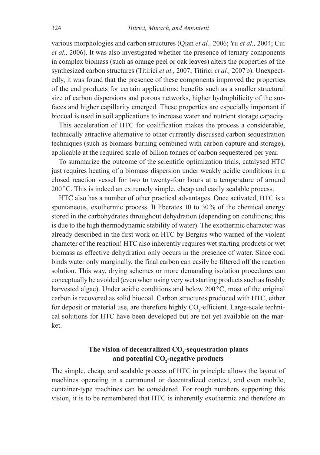various morphologies and carbon structures (Qian *et al.,* 2006; Yu *et al.,* 2004; Cui *et al.,* 2006). It was also investigated whether the presence of ternary components in complex biomass (such as orange peel or oak leaves) alters the properties of the synthesized carbon structures (Titirici *et al.,* 2007; Titirici *et al.,* 2007 b). Unexpectedly, it was found that the presence of these components improved the properties of the end products for certain applications: benefits such as a smaller structural size of carbon dispersions and porous networks, higher hydrophilicity of the surfaces and higher capillarity emerged. These properties are especially important if biocoal is used in soil applications to increase water and nutrient storage capacity.

This acceleration of HTC for coalification makes the process a considerable, technically attractive alternative to other currently discussed carbon sequestration techniques (such as biomass burning combined with carbon capture and storage), applicable at the required scale of billion tonnes of carbon sequestered per year.

To summarize the outcome of the scientific optimization trials, catalysed HTC just requires heating of a biomass dispersion under weakly acidic conditions in a closed reaction vessel for two to twenty-four hours at a temperature of around  $200^{\circ}$ C. This is indeed an extremely simple, cheap and easily scalable process.

HTC also has a number of other practical advantages. Once activated, HTC is a spontaneous, exothermic process. It liberates 10 to 30 % of the chemical energy stored in the carbohydrates throughout dehydration (depending on conditions; this is due to the high thermodynamic stability of water). The exothermic character was already described in the first work on HTC by Bergius who warned of the violent character of the reaction! HTC also inherently requires wet starting products or wet biomass as effective dehydration only occurs in the presence of water. Since coal binds water only marginally, the final carbon can easily be filtered off the reaction solution. This way, drying schemes or more demanding isolation procedures can conceptually be avoided (even when using very wet starting products such as freshly harvested algae). Under acidic conditions and below 200 °C, most of the original carbon is recovered as solid biocoal. Carbon structures produced with HTC, either for deposit or material use, are therefore highly  $CO_2$ -efficient. Large-scale technical solutions for HTC have been developed but are not yet available on the market.

## The vision of decentralized CO<sub>2</sub>-sequestration plants and potential CO<sub>2</sub>-negative products

The simple, cheap, and scalable process of HTC in principle allows the layout of machines operating in a communal or decentralized context, and even mobile, container-type machines can be considered. For rough numbers supporting this vision, it is to be remembered that HTC is inherently exothermic and therefore an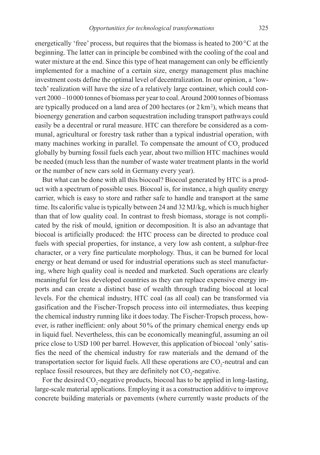energetically 'free' process, but requires that the biomass is heated to  $200^{\circ}$ C at the beginning. The latter can in principle be combined with the cooling of the coal and water mixture at the end. Since this type of heat management can only be efficiently implemented for a machine of a certain size, energy management plus machine investment costs define the optimal level of decentralization. In our opinion, a 'lowtech' realization will have the size of a relatively large container, which could convert 2000 –10 000 tonnes of biomass per year to coal. Around 2000 tonnes of biomass are typically produced on a land area of 200 hectares (or  $2 \text{ km}^2$ ), which means that bioenergy generation and carbon sequestration including transport pathways could easily be a decentral or rural measure. HTC can therefore be considered as a communal, agricultural or forestry task rather than a typical industrial operation, with many machines working in parallel. To compensate the amount of  $CO<sub>2</sub>$  produced globally by burning fossil fuels each year, about two million HTC machines would be needed (much less than the number of waste water treatment plants in the world or the number of new cars sold in Germany every year).

But what can be done with all this biocoal? Biocoal generated by HTC is a product with a spectrum of possible uses. Biocoal is, for instance, a high quality energy carrier, which is easy to store and rather safe to handle and transport at the same time. Its calorific value is typically between 24 and 32 MJ/kg, which is much higher than that of low quality coal. In contrast to fresh biomass, storage is not complicated by the risk of mould, ignition or decomposition. It is also an advantage that biocoal is artificially produced: the HTC process can be directed to produce coal fuels with special properties, for instance, a very low ash content, a sulphur-free character, or a very fine particulate morphology. Thus, it can be burned for local energy or heat demand or used for industrial operations such as steel manufacturing, where high quality coal is needed and marketed. Such operations are clearly meaningful for less developed countries as they can replace expensive energy imports and can create a distinct base of wealth through trading biocoal at local levels. For the chemical industry, HTC coal (as all coal) can be transformed via gasification and the Fischer-Tropsch process into oil intermediates, thus keeping the chemical industry running like it does today. The Fischer-Tropsch process, however, is rather inefficient: only about 50 % of the primary chemical energy ends up in liquid fuel. Nevertheless, this can be economically meaningful, assuming an oil price close to USD 100 per barrel. However, this application of biocoal 'only' satisfies the need of the chemical industry for raw materials and the demand of the transportation sector for liquid fuels. All these operations are  $CO_2$ -neutral and can replace fossil resources, but they are definitely not  $CO_2$ -negative.

For the desired CO<sub>2</sub>-negative products, biocoal has to be applied in long-lasting, large-scale material applications. Employing it as a construction additive to improve concrete building materials or pavements (where currently waste products of the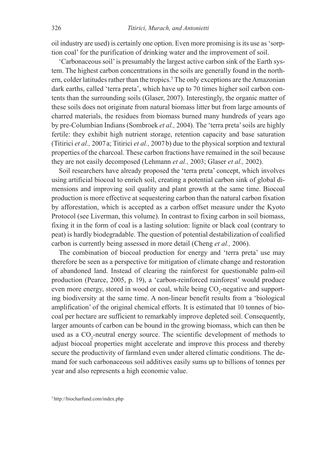oil industry are used) is certainly one option. Even more promising is its use as 'sorption coal' for the purification of drinking water and the improvement of soil.

'Carbonaceous soil' is presumably the largest active carbon sink of the Earth system. The highest carbon concentrations in the soils are generally found in the northern, colder latitudes rather than the tropics.<sup>5</sup> The only exceptions are the Amazonian dark earths, called 'terra preta', which have up to 70 times higher soil carbon contents than the surrounding soils (Glaser, 2007). Interestingly, the organic matter of these soils does not originate from natural biomass litter but from large amounts of charred materials, the residues from biomass burned many hundreds of years ago by pre-Columbian Indians (Sombroek *et al.,* 2004). The 'terra preta' soils are highly fertile: they exhibit high nutrient storage, retention capacity and base saturation (Titirici *et al.,* 2007 a; Titirici *et al.,* 2007 b) due to the physical sorption and textural properties of the charcoal. These carbon fractions have remained in the soil because they are not easily decomposed (Lehmann *et al.,* 2003; Glaser *et al.,* 2002).

Soil researchers have already proposed the 'terra preta' concept, which involves using artificial biocoal to enrich soil, creating a potential carbon sink of global dimensions and improving soil quality and plant growth at the same time. Biocoal production is more effective at sequestering carbon than the natural carbon fixation by affore station, which is accepted as a carbon offset measure under the Kyoto Protocol (see Liverman, this volume). In contrast to fixing carbon in soil biomass, fixing it in the form of coal is a lasting solution: lignite or black coal (contrary to peat) is hardly biodegradable. The question of potential destabilization of coalified carbon is currently being assessed in more detail (Cheng *et al.,* 2006).

The combination of biocoal production for energy and 'terra preta' use may therefore be seen as a perspective for mitigation of climate change and restoration of abandoned land. Instead of clearing the rainforest for questionable palm-oil production (Pearce, 2005, p. 19), a 'carbon-reinforced rainforest' would produce even more energy, stored in wood or coal, while being  $CO_2$ -negative and supporting biodiversity at the same time. A non-linear benefit results from a 'biological amplification' of the original chemical efforts. It is estimated that 10 tonnes of biocoal per hectare are sufficient to remarkably improve depleted soil. Consequently, larger amounts of carbon can be bound in the growing biomass, which can then be used as a  $CO_2$ -neutral energy source. The scientific development of methods to adjust biocoal properties might accelerate and improve this process and thereby secure the productivity of farmland even under altered climatic conditions. The demand for such carbonaceous soil additives easily sums up to billions of tonnes per year and also represents a high economic value.

5 http://biocharfund.com/index.php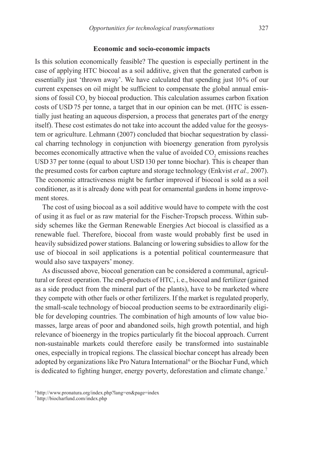### **Economic and socio-economic impacts**

Is this solution economically feasible? The question is especially pertinent in the case of applying HTC biocoal as a soil additive, given that the generated carbon is essentially just 'thrown away'. We have calculated that spending just 10 % of our current expenses on oil might be sufficient to compensate the global annual emissions of fossil  $CO<sub>2</sub>$  by biocoal production. This calculation assumes carbon fixation costs of USD 75 per tonne, a target that in our opinion can be met. (HTC is essentially just heating an aqueous dispersion, a process that generates part of the energy itself). These cost estimates do not take into account the added value for the geosystem or agriculture. Lehmann (2007) concluded that biochar sequestration by classical charring technology in conjunction with bioenergy generation from pyrolysis becomes economically attractive when the value of avoided  $CO_2$  emissions reaches USD 37 per tonne (equal to about USD 130 per tonne biochar). This is cheaper than the presumed costs for carbon capture and storage technology (Enkvist *et al.,* 2007). The economic attractiveness might be further improved if biocoal is sold as a soil conditioner, as it is already done with peat for ornamental gardens in home improvement stores.

The cost of using biocoal as a soil additive would have to compete with the cost of using it as fuel or as raw material for the Fischer-Tropsch process. Within subsidy schemes like the German Renewable Energies Act biocoal is classified as a renewable fuel. Therefore, biocoal from waste would probably first be used in heavily subsidized power stations. Balancing or lowering subsidies to allow for the use of biocoal in soil applications is a potential political countermeasure that would also save taxpayers' money.

As discussed above, biocoal generation can be considered a communal, agricultural or forest operation. The end-products of HTC, i. e., biocoal and fertilizer (gained as a side product from the mineral part of the plants), have to be marketed where they compete with other fuels or other fertilizers. If the market is regulated properly, the small-scale technology of biocoal production seems to be extraordinarily eligible for developing countries. The combination of high amounts of low value biomasses, large areas of poor and abandoned soils, high growth potential, and high relevance of bioenergy in the tropics particularly fit the biocoal approach. Current non-sustainable markets could therefore easily be transformed into sustainable ones, especially in tropical regions. The classical biochar concept has already been adopted by organizations like Pro Natura International<sup>6</sup> or the Biochar Fund, which is dedicated to fighting hunger, energy poverty, deforestation and climate change.7

<sup>6</sup> http://www.pronatura.org/index.php?lang=en&page=index

<sup>7</sup> http://biocharfund.com/index.php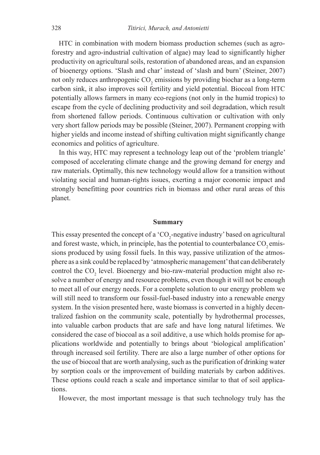HTC in combination with modern biomass production schemes (such as agroforestry and agro-industrial cultivation of algae) may lead to significantly higher productivity on agricultural soils, restoration of abandoned areas, and an expansion of bioenergy options. 'Slash and char' instead of 'slash and burn' (Steiner, 2007) not only reduces anthropogenic  $CO_2$  emissions by providing biochar as a long-term carbon sink, it also improves soil fertility and yield potential. Biocoal from HTC potentially allows farmers in many eco-regions (not only in the humid tropics) to escape from the cycle of declining productivity and soil degradation, which result from shortened fallow periods. Continuous cultivation or cultivation with only very short fallow periods may be possible (Steiner, 2007). Permanent cropping with higher yields and income instead of shifting cultivation might significantly change economics and politics of agriculture.

In this way, HTC may represent a technology leap out of the 'problem triangle' composed of accelerating climate change and the growing demand for energy and raw materials. Optimally, this new technology would allow for a transition without violating social and human-rights issues, exerting a major economic impact and strongly benefitting poor countries rich in biomass and other rural areas of this planet.

### **Summary**

This essay presented the concept of a 'CO<sub>2</sub>-negative industry' based on agricultural and forest waste, which, in principle, has the potential to counterbalance  $CO_2$  emissions produced by using fossil fuels. In this way, passive utilization of the atmosphere as a sink could be replaced by 'atmospheric management' that can deliberately control the  $CO_2$  level. Bioenergy and bio-raw-material production might also resolve a number of energy and resource problems, even though it will not be enough to meet all of our energy needs. For a complete solution to our energy problem we will still need to transform our fossil-fuel-based industry into a renewable energy system. In the vision presented here, waste biomass is converted in a highly decentralized fashion on the community scale, potentially by hydrothermal processes, into valuable carbon products that are safe and have long natural lifetimes. We considered the case of biocoal as a soil additive, a use which holds promise for applications worldwide and potentially to brings about 'biological amplification' through increased soil fertility. There are also a large number of other options for the use of biocoal that are worth analysing, such as the purification of drinking water by sorption coals or the improvement of building materials by carbon additives. These options could reach a scale and importance similar to that of soil applications.

However, the most important message is that such technology truly has the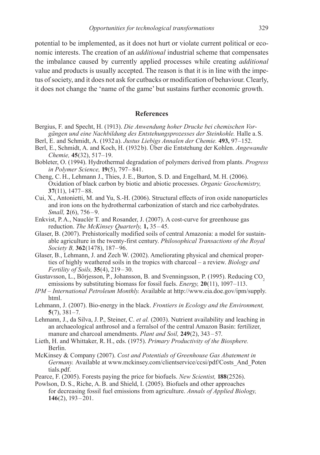potential to be implemented, as it does not hurt or violate current political or economic interests. The creation of an *additional* industrial scheme that compensates the imbalance caused by currently applied processes while creating *additional* value and products is usually accepted. The reason is that it is in line with the impetus of society, and it does not ask for cutbacks or modification of behaviour. Clearly, it does not change the 'name of the game' but sustains further economic growth.

#### **References**

- Bergius, F. and Specht, H. (1913). *Die Anwendung hoher Drucke bei chemischen Vorgängen und eine Nachbildung des Entstehungsprozesses der Steinkohle.* Halle a. S.
- Berl, E. and Schmidt, A. (1932 a). *Justus Liebigs Annalen der Chemie.* **493,** 97–152.
- Berl, E., Schmidt, A. and Koch, H. (1932 b). Über die Entstehung der Kohlen. *Angewandte Chemie,* **45** (32), 517–19.
- Bobleter, O. (1994). Hydrothermal degradation of polymers derived from plants. *Progress in Polymer Science*, 19(5), 797–841.
- Cheng, C. H., Lehmann J., Thies, J. E., Burton, S. D. and Engelhard, M. H. (2006). Oxidation of black carbon by biotic and abiotic processes. *Organic Geochemistry,*  **37**(11), 1477– 88.
- Cui, X., Antonietti, M. and Yu, S.-H. (2006). Structural effects of iron oxide nanoparticles and iron ions on the hydrothermal carbonization of starch and rice carbohydrates. *Small,* **2**(6), **756**-9.
- Enkvist, P. A., Nauclér T. and Rosander, J. (2007). A cost-curve for greenhouse gas reduction. *The McKinsey Quarterly,* **1,** 35 – 45.
- Glaser, B. (2007). Prehistorically modified soils of central Amazonia: a model for sustainable agriculture in the twenty-first century. *Philosophical Transactions of the Royal Society B,* **362** (1478), 187– 96.
- Glaser, B., Lehmann, J. and Zech W. (2002). Ameliorating physical and chemical properties of highly weathered soils in the tropics with charcoal – a review. *Biology and Fertility of Soils,* **35** (4), 219 – 30.
- Gustavsson, L., Börjesson, P., Johansson, B. and Svenningsson, P. (1995). Reducing CO<sub>2</sub> emissions by substituting biomass for fossil fuels. *Energy,* **20** (11), 1097–113.
- *IPM International Petroleum Monthly.* Available at http://www.eia.doe.gov/ipm/supply. html.
- Lehmann, J. (2007). Bio-energy in the black. *Frontiers in Ecology and the Environment,* **5** (7), 381–7.
- Lehmann, J., da Silva, J. P., Steiner, C. *et al.* (2003). Nutrient availability and leaching in an archaeological anthrosol and a ferralsol of the central Amazon Basin: fertilizer, manure and charcoal amendments. *Plant and Soil*, **249**(2), 343–57.
- Lieth, H. and Whittaker, R. H., eds. (1975). *Primary Productivity of the Biosphere.*  Berlin.
- McKinsey & Company (2007). *Cost and Potentials of Greenhouse Gas Abatement in Germany.* Available at www.mckinsey.com/clientservice/ccsi/pdf/Costs\_And\_Poten tials.pdf.
- Pearce, F. (2005). Forests paying the price for biofuels. *New Scientist,* **188** (2526).
- Powlson, D. S., Riche, A. B. and Shield, I. (2005). Biofuels and other approaches for decreasing fossil fuel emissions from agriculture. *Annals of Applied Biology,*  **146** (2), 193 – 201.